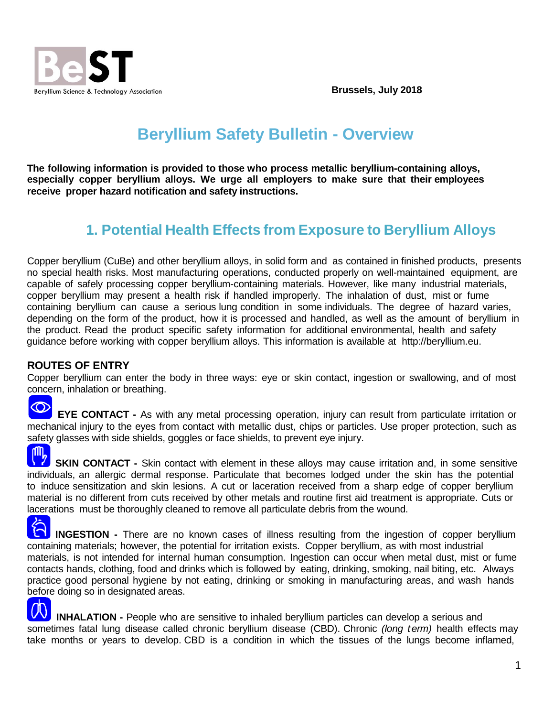**Brussels, July 2018**



## **Beryllium Safety Bulletin - Overview**

**The following information is provided to those who process metallic beryllium-containing alloys, especially copper beryllium alloys. We urge all employers to make sure that their employees receive proper hazard notification and safety instructions.**

## **1. Potential Health Effects from Exposure to Beryllium Alloys**

Copper beryllium (CuBe) and other beryllium alloys, in solid form and as contained in finished products, presents no special health risks. Most manufacturing operations, conducted properly on well-maintained equipment, are capable of safely processing copper beryllium-containing materials. However, like many industrial materials, copper beryllium may present a health risk if handled improperly. The inhalation of dust, mist or fume containing beryllium can cause a serious lung condition in some individuals. The degree of hazard varies, depending on the form of the product, how it is processed and handled, as well as the amount of beryllium in the product. Read the product specific safety information for additional environmental, health and safety guidance before working with copper beryllium alloys. This information is available at [http://beryllium.eu.](http://beryllium.eu/)

## **ROUTES OF ENTRY**

Copper beryllium can enter the body in three ways: eye or skin contact, ingestion or swallowing, and of most concern, inhalation or breathing.

 $\infty$ 

 **EYE CONTACT -** As with any metal processing operation, injury can result from particulate irritation or mechanical injury to the eyes from contact with metallic dust, chips or particles. Use proper protection, such as safety glasses with side shields, goggles or face shields, to prevent eye injury.

**SKIN CONTACT -** Skin contact with element in these alloys may cause irritation and, in some sensitive individuals, an allergic dermal response. Particulate that becomes lodged under the skin has the potential to induce sensitization and skin lesions. A cut or laceration received from a sharp edge of copper beryllium material is no different from cuts received by other metals and routine first aid treatment is appropriate. Cuts or lacerations must be thoroughly cleaned to remove all particulate debris from the wound.

**INGESTION -** There are no known cases of illness resulting from the ingestion of copper beryllium containing materials; however, the potential for irritation exists. Copper beryllium, as with most industrial materials, is not intended for internal human consumption. Ingestion can occur when metal dust, mist or fume contacts hands, clothing, food and drinks which is followed by eating, drinking, smoking, nail biting, etc. Always practice good personal hygiene by not eating, drinking or smoking in manufacturing areas, and wash hands before doing so in designated areas.

 **INHALATION -** People who are sensitive to inhaled beryllium particles can develop a serious and sometimes fatal lung disease called chronic beryllium disease (CBD). Chronic *(long term)* health effects may take months or years to develop. CBD is a condition in which the tissues of the lungs become inflamed,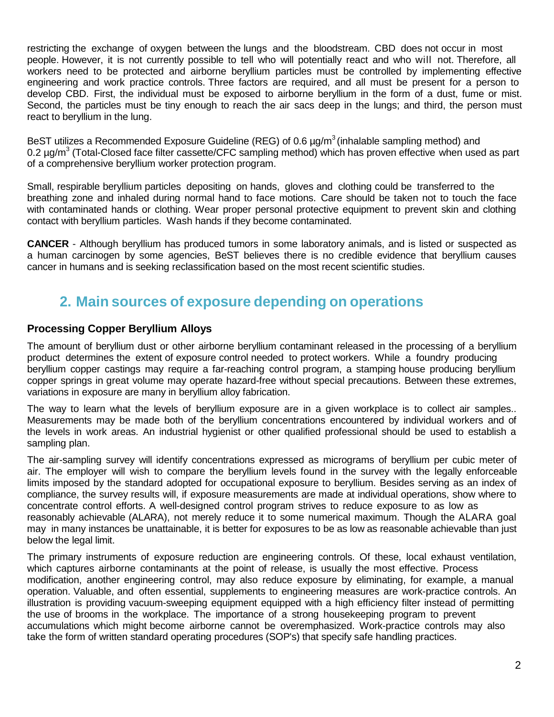restricting the exchange of oxygen between the lungs and the bloodstream. CBD does not occur in most people. However, it is not currently possible to tell who will potentially react and who will not. Therefore, all workers need to be protected and airborne beryllium particles must be controlled by implementing effective engineering and work practice controls. Three factors are required, and all must be present for a person to develop CBD. First, the individual must be exposed to airborne beryllium in the form of a dust, fume or mist. Second, the particles must be tiny enough to reach the air sacs deep in the lungs; and third, the person must react to beryllium in the lung.

BeST utilizes a Recommended Exposure Guideline (REG) of 0.6  $\mu$ g/m<sup>3</sup> (inhalable sampling method) and 0.2 ug/m<sup>3</sup> (Total-Closed face filter cassette/CFC sampling method) which has proven effective when used as part of a comprehensive beryllium worker protection program.

Small, respirable beryllium particles depositing on hands, gloves and clothing could be transferred to the breathing zone and inhaled during normal hand to face motions. Care should be taken not to touch the face with contaminated hands or clothing. Wear proper personal protective equipment to prevent skin and clothing contact with beryllium particles. Wash hands if they become contaminated.

**CANCER** - Although beryllium has produced tumors in some laboratory animals, and is listed or suspected as a human carcinogen by some agencies, BeST believes there is no credible evidence that beryllium causes cancer in humans and is seeking reclassification based on the most recent scientific studies.

## **2. Main sources of exposure depending on operations**

## **Processing Copper Beryllium Alloys**

The amount of beryllium dust or other airborne beryllium contaminant released in the processing of a beryllium product determines the extent of exposure control needed to protect workers. While a foundry producing beryllium copper castings may require a far-reaching control program, a stamping house producing beryllium copper springs in great volume may operate hazard-free without special precautions. Between these extremes, variations in exposure are many in beryllium alloy fabrication.

The way to learn what the levels of beryllium exposure are in a given workplace is to collect air samples.. Measurements may be made both of the beryllium concentrations encountered by individual workers and of the levels in work areas. An industrial hygienist or other qualified professional should be used to establish a sampling plan.

The air-sampling survey will identify concentrations expressed as micrograms of beryllium per cubic meter of air. The employer will wish to compare the beryllium levels found in the survey with the legally enforceable limits imposed by the standard adopted for occupational exposure to beryllium. Besides serving as an index of compliance, the survey results will, if exposure measurements are made at individual operations, show where to concentrate control efforts. A well-designed control program strives to reduce exposure to as low as reasonably achievable (ALARA), not merely reduce it to some numerical maximum. Though the ALARA goal may in many instances be unattainable, it is better for exposures to be as low as reasonable achievable than just below the legal limit.

The primary instruments of exposure reduction are engineering controls. Of these, local exhaust ventilation, which captures airborne contaminants at the point of release, is usually the most effective. Process modification, another engineering control, may also reduce exposure by eliminating, for example, a manual operation. Valuable, and often essential, supplements to engineering measures are work-practice controls. An illustration is providing vacuum-sweeping equipment equipped with a high efficiency filter instead of permitting the use of brooms in the workplace. The importance of a strong housekeeping program to prevent accumulations which might become airborne cannot be overemphasized. Work-practice controls may also take the form of written standard operating procedures (SOP's) that specify safe handling practices.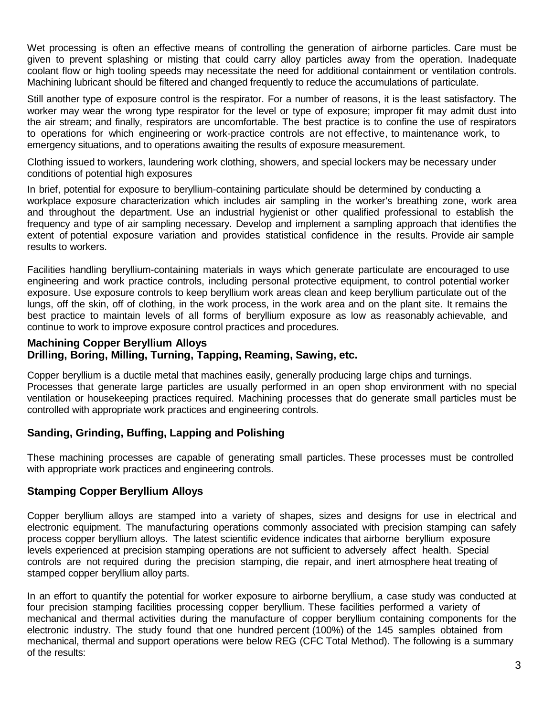Wet processing is often an effective means of controlling the generation of airborne particles. Care must be given to prevent splashing or misting that could carry alloy particles away from the operation. Inadequate coolant flow or high tooling speeds may necessitate the need for additional containment or ventilation controls. Machining lubricant should be filtered and changed frequently to reduce the accumulations of particulate.

Still another type of exposure control is the respirator. For a number of reasons, it is the least satisfactory. The worker may wear the wrong type respirator for the level or type of exposure; improper fit may admit dust into the air stream; and finally, respirators are uncomfortable. The best practice is to confine the use of respirators to operations for which engineering or work-practice controls are not effective, to maintenance work, to emergency situations, and to operations awaiting the results of exposure measurement.

Clothing issued to workers, laundering work clothing, showers, and special lockers may be necessary under conditions of potential high exposures

In brief, potential for exposure to beryllium-containing particulate should be determined by conducting a workplace exposure characterization which includes air sampling in the worker's breathing zone, work area and throughout the department. Use an industrial hygienist or other qualified professional to establish the frequency and type of air sampling necessary. Develop and implement a sampling approach that identifies the extent of potential exposure variation and provides statistical confidence in the results. Provide air sample results to workers.

Facilities handling beryllium-containing materials in ways which generate particulate are encouraged to use engineering and work practice controls, including personal protective equipment, to control potential worker exposure. Use exposure controls to keep beryllium work areas clean and keep beryllium particulate out of the lungs, off the skin, off of clothing, in the work process, in the work area and on the plant site. It remains the best practice to maintain levels of all forms of beryllium exposure as low as reasonably achievable, and continue to work to improve exposure control practices and procedures.

## **Machining Copper Beryllium Alloys Drilling, Boring, Milling, Turning, Tapping, Reaming, Sawing, etc.**

Copper beryllium is a ductile metal that machines easily, generally producing large chips and turnings. Processes that generate large particles are usually performed in an open shop environment with no special ventilation or housekeeping practices required. Machining processes that do generate small particles must be controlled with appropriate work practices and engineering controls.

## **Sanding, Grinding, Buffing, Lapping and Polishing**

These machining processes are capable of generating small particles. These processes must be controlled with appropriate work practices and engineering controls.

## **Stamping Copper Beryllium Alloys**

Copper beryllium alloys are stamped into a variety of shapes, sizes and designs for use in electrical and electronic equipment. The manufacturing operations commonly associated with precision stamping can safely process copper beryllium alloys. The latest scientific evidence indicates that airborne beryllium exposure levels experienced at precision stamping operations are not sufficient to adversely affect health. Special controls are not required during the precision stamping, die repair, and inert atmosphere heat treating of stamped copper beryllium alloy parts.

In an effort to quantify the potential for worker exposure to airborne beryllium, a case study was conducted at four precision stamping facilities processing copper beryllium. These facilities performed a variety of mechanical and thermal activities during the manufacture of copper beryllium containing components for the electronic industry. The study found that one hundred percent (100%) of the 145 samples obtained from mechanical, thermal and support operations were below REG (CFC Total Method). The following is a summary of the results: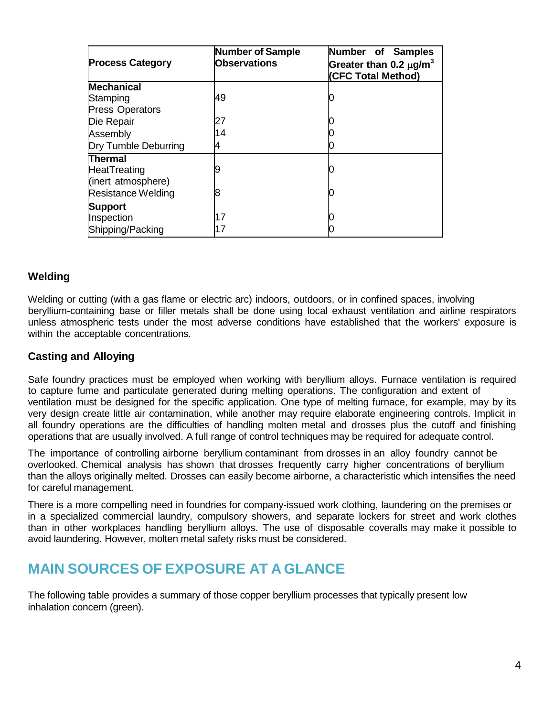| <b>Process Category</b>   | <b>Number of Sample</b><br><b>Observations</b> | Number of Samples<br>Greater than 0.2 $\mu$ g/m <sup>3</sup><br>(CFC Total Method) |
|---------------------------|------------------------------------------------|------------------------------------------------------------------------------------|
| <b>Mechanical</b>         |                                                |                                                                                    |
| Stamping                  | 49                                             |                                                                                    |
| <b>Press Operators</b>    |                                                |                                                                                    |
| Die Repair                | 27                                             |                                                                                    |
| Assembly                  | 14                                             |                                                                                    |
| Dry Tumble Deburring      |                                                |                                                                                    |
| <b>Thermal</b>            |                                                |                                                                                    |
| HeatTreating              |                                                |                                                                                    |
| (inert atmosphere)        |                                                |                                                                                    |
| <b>Resistance Welding</b> | 8                                              |                                                                                    |
| <b>Support</b>            |                                                |                                                                                    |
| Inspection                | 17                                             |                                                                                    |
| Shipping/Packing          | 17                                             |                                                                                    |

## **Welding**

Welding or cutting (with a gas flame or electric arc) indoors, outdoors, or in confined spaces, involving beryllium-containing base or filler metals shall be done using local exhaust ventilation and airline respirators unless atmospheric tests under the most adverse conditions have established that the workers' exposure is within the acceptable concentrations.

### **Casting and Alloying**

Safe foundry practices must be employed when working with beryllium alloys. Furnace ventilation is required to capture fume and particulate generated during melting operations. The configuration and extent of ventilation must be designed for the specific application. One type of melting furnace, for example, may by its very design create little air contamination, while another may require elaborate engineering controls. Implicit in all foundry operations are the difficulties of handling molten metal and drosses plus the cutoff and finishing operations that are usually involved. A full range of control techniques may be required for adequate control.

The importance of controlling airborne beryllium contaminant from drosses in an alloy foundry cannot be overlooked. Chemical analysis has shown that drosses frequently carry higher concentrations of beryllium than the alloys originally melted. Drosses can easily become airborne, a characteristic which intensifies the need for careful management.

There is a more compelling need in foundries for company-issued work clothing, laundering on the premises or in a specialized commercial laundry, compulsory showers, and separate lockers for street and work clothes than in other workplaces handling beryllium alloys. The use of disposable coveralls may make it possible to avoid laundering. However, molten metal safety risks must be considered.

## **MAIN SOURCES OF EXPOSURE AT A GLANCE**

The following table provides a summary of those copper beryllium processes that typically present low inhalation concern (green).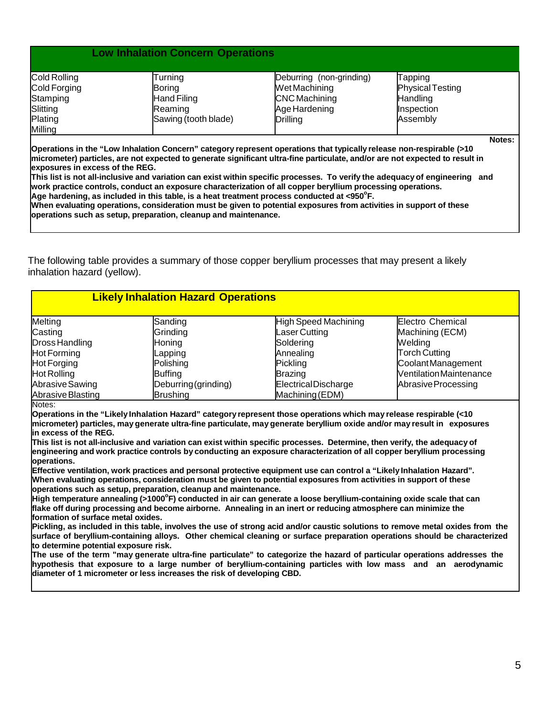### **Low Inhalation Concern Operations**

| Cold Rolling | Turning              | Deburring (non-grinding) | Tapping                 |  |
|--------------|----------------------|--------------------------|-------------------------|--|
| Cold Forging | Boring               | Wet Machining            | <b>Physical Testing</b> |  |
| Stamping     | <b>Hand Filing</b>   | <b>CNC</b> Machining     | <b>Handling</b>         |  |
| Slitting     | Reaming              | Age Hardening            | Inspection              |  |
| Plating      | Sawing (tooth blade) | Drilling                 | Assembly                |  |
| Milling      |                      |                          |                         |  |
|              |                      |                          | Notes:                  |  |

**Operations in the "Low Inhalation Concern" category represent operations that typically release non-respirable (>10 micrometer) particles, are not expected to generate significant ultra-fine particulate, and/or are not expected to result in exposures in excess of the REG.**

**This list is not all-inclusive and variation can exist within specific processes. To verify the adequacy of engineering and work practice controls, conduct an exposure characterization of all copper beryllium processing operations.** Age hardening, as included in this table, is a heat treatment process conducted at <950°F.

**When evaluating operations, consideration must be given to potential exposures from activities in support of these operations such as setup, preparation, cleanup and maintenance.**

The following table provides a summary of those copper beryllium processes that may present a likely inhalation hazard (yellow).

| <b>Likely Inhalation Hazard Operations</b> |                      |                      |                               |
|--------------------------------------------|----------------------|----------------------|-------------------------------|
| Melting                                    | Sanding              | High Speed Machining | Electro Chemical              |
| Casting                                    | Grinding             | Laser Cutting        | Machining (ECM)               |
| Dross Handling                             | Honing               | Soldering            | Welding                       |
| <b>Hot Forming</b>                         | Lapping              | Annealing            | <b>Torch Cutting</b>          |
| <b>Hot Forging</b>                         | Polishing            | <b>Pickling</b>      | CoolantManagement             |
| Hot Rolling                                | Buffing              | <b>Brazing</b>       | <b>VentilationMaintenance</b> |
| Abrasive Sawing                            | Deburring (grinding) | Electrical Discharge | Abrasive Processing           |
| Abrasive Blasting                          | <b>Brushing</b>      | Machining (EDM)      |                               |
| Notes:                                     |                      |                      |                               |

**Operations in the "Likely Inhalation Hazard" categoryrepresent those operations which may release respirable (<10 micrometer) particles, may generate ultra-fine particulate, may generate beryllium oxide and/or may result in exposures in excess of the REG.**

**This list is not all-inclusive and variation can exist within specific processes. Determine, then verify, the adequacy of engineering and work practice controls by conducting an exposure characterization of all copper beryllium processing operations.**

**Effective ventilation, work practices and personal protective equipment use can control a "Likely Inhalation Hazard". When evaluating operations, consideration must be given to potential exposures from activities in support of these operations such as setup, preparation, cleanup and maintenance.**

High temperature annealing (>1000°F) conducted in air can generate a loose beryllium-containing oxide scale that can **flake off during processing and become airborne. Annealing in an inert or reducing atmosphere can minimize the formation of surface metal oxides.**

Pickling, as included in this table, involves the use of strong acid and/or caustic solutions to remove metal oxides from the **surface of beryllium-containing alloys. Other chemical cleaning or surface preparation operations should be characterized to determine potential exposure risk.**

The use of the term "may generate ultra-fine particulate" to categorize the hazard of particular operations addresses the **hypothesis that exposure to a large number of beryllium-containing particles with low mass and an aerodynamic diameter of 1 micrometer or less increases the risk of developing CBD.**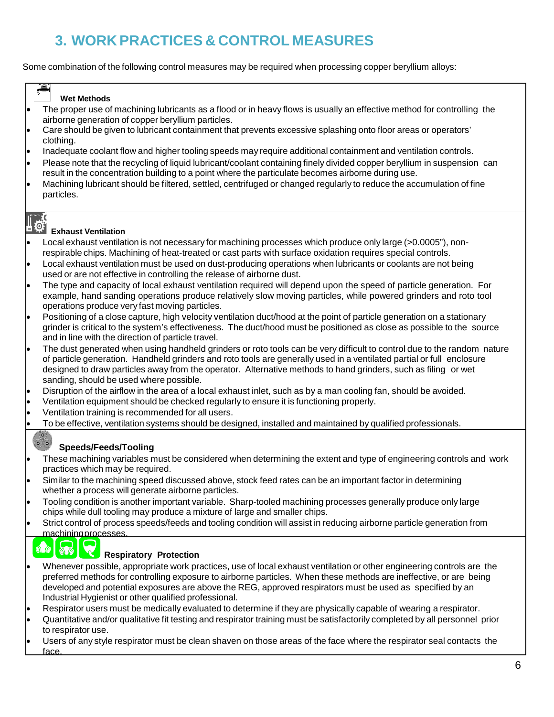# **3. WORK PRACTICES & CONTROL MEASURES**

Some combination of the following control measures may be required when processing copper beryllium alloys:

### **Wet Methods**

- The proper use of machining lubricants as a flood or in heavy flows is usually an effective method for controlling the airborne generation of copper beryllium particles.
- Care should be given to lubricant containment that prevents excessive splashing onto floor areas or operators' clothing.
- Inadequate coolant flow and higher tooling speeds may require additional containment and ventilation controls.
- Please note that the recycling of liquid lubricant/coolant containing finely divided copper beryllium in suspension can result in the concentration building to a point where the particulate becomes airborne during use.
- Machining lubricant should be filtered, settled, centrifuged or changed regularly to reduce the accumulation of fine particles.

### $\odot$  : **Exhaust Ventilation**

- Local exhaust ventilation is not necessary for machining processes which produce only large (>0.0005"), nonrespirable chips. Machining of heat-treated or cast parts with surface oxidation requires special controls.
- Local exhaust ventilation must be used on dust-producing operations when lubricants or coolants are not being used or are not effective in controlling the release of airborne dust.
- The type and capacity of local exhaust ventilation required will depend upon the speed of particle generation. For example, hand sanding operations produce relatively slow moving particles, while powered grinders and roto tool operations produce very fast moving particles.
- Positioning of a close capture, high velocity ventilation duct/hood at the point of particle generation on a stationary grinder is critical to the system's effectiveness. The duct/hood must be positioned as close as possible to the source and in line with the direction of particle travel.
- The dust generated when using handheld grinders or roto tools can be very difficult to control due to the random nature of particle generation. Handheld grinders and roto tools are generally used in a ventilated partial or full enclosure designed to draw particles away from the operator. Alternative methods to hand grinders, such as filing or wet sanding, should be used where possible.
- Disruption of the airflow in the area of a local exhaust inlet, such as by a man cooling fan, should be avoided.
- Ventilation equipment should be checked regularly to ensure it is functioning properly.
- Ventilation training is recommended for all users.
- To be effective, ventilation systems should be designed, installed and maintained by qualified professionals.

### $\bullet$   $\bullet$ **Speeds/Feeds/Tooling**

- These machining variables must be considered when determining the extent and type of engineering controls and work practices which may be required.
- Similar to the machining speed discussed above, stock feed rates can be an important factor in determining whether a process will generate airborne particles.
- Tooling condition is another important variable. Sharp-tooled machining processes generally produce only large chips while dull tooling may produce a mixture of large and smaller chips.
- Strict control of process speeds/feeds and tooling condition will assist in reducing airborne particle generation from machiningprocesses.

## $\sqrt{2}$

 $\bullet$ 

### **Respiratory Protection**

- Whenever possible, appropriate work practices, use of local exhaust ventilation or other engineering controls are the preferred methods for controlling exposure to airborne particles. When these methods are ineffective, or are being developed and potential exposures are above the REG, approved respirators must be used as specified by an Industrial Hygienist or other qualified professional.
- Respirator users must be medically evaluated to determine if they are physically capable of wearing a respirator.
- Quantitative and/or qualitative fit testing and respirator training must be satisfactorily completed by all personnel prior to respirator use.
- Users of any style respirator must be clean shaven on those areas of the face where the respirator seal contacts the face.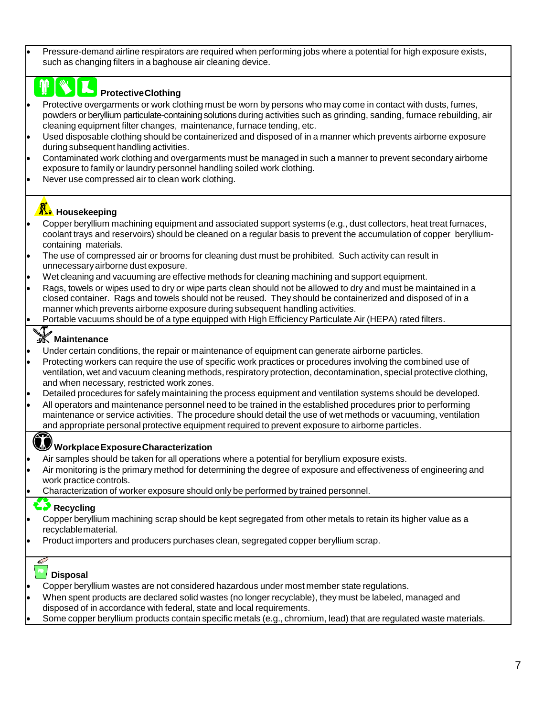• Pressure-demand airline respirators are required when performing jobs where a potential for high exposure exists, such as changing filters in a baghouse air cleaning device.

## **ProtectiveClothing**

- Protective overgarments or work clothing must be worn by persons who may come in contact with dusts, fumes, powders or beryllium particulate-containing solutions during activities such as grinding, sanding, furnace rebuilding, air cleaning equipment filter changes, maintenance, furnace tending, etc.
- Used disposable clothing should be containerized and disposed of in a manner which prevents airborne exposure during subsequent handling activities.
- Contaminated work clothing and overgarments must be managed in such a manner to prevent secondary airborne exposure to family or laundry personnel handling soiled work clothing.
- Never use compressed air to clean work clothing.

## **R**: Housekeeping

- Copper beryllium machining equipment and associated support systems (e.g., dust collectors, heat treat furnaces, coolant trays and reservoirs) should be cleaned on a regular basis to prevent the accumulation of copper berylliumcontaining materials.
- The use of compressed air or brooms for cleaning dust must be prohibited. Such activity can result in unnecessaryairborne dust exposure.
- Wet cleaning and vacuuming are effective methods for cleaning machining and support equipment.
- Rags, towels or wipes used to dry or wipe parts clean should not be allowed to dry and must be maintained in a closed container. Rags and towels should not be reused. They should be containerized and disposed of in a manner which prevents airborne exposure during subsequent handling activities.
- Portable vacuums should be of a type equipped with High Efficiency Particulate Air (HEPA) rated filters.

## **Waintenance**

- Under certain conditions, the repair or maintenance of equipment can generate airborne particles.
- Protecting workers can require the use of specific work practices or procedures involving the combined use of ventilation, wet and vacuum cleaning methods, respiratory protection, decontamination, special protective clothing, and when necessary, restricted work zones.
- Detailed procedures for safely maintaining the process equipment and ventilation systems should be developed.
- All operators and maintenance personnel need to be trained in the established procedures prior to performing maintenance or service activities. The procedure should detail the use of wet methods or vacuuming, ventilation and appropriate personal protective equipment required to prevent exposure to airborne particles.

## **WorkplaceExposureCharacterization**

- Air samples should be taken for all operations where a potential for beryllium exposure exists.
- Air monitoring is the primary method for determining the degree of exposure and effectiveness of engineering and work practice controls.
- Characterization of worker exposure should only be performed by trained personnel.

### **Recycling**

- Copper beryllium machining scrap should be kept segregated from other metals to retain its higher value as a recyclablematerial.
- Product importers and producers purchases clean, segregated copper beryllium scrap.

## **Disposal**

40

- Copper beryllium wastes are not considered hazardous under most member state regulations.
- When spent products are declared solid wastes (no longer recyclable), they must be labeled, managed and disposed of in accordance with federal, state and local requirements.
- Some copper beryllium products contain specific metals (e.g., chromium, lead) that are regulated waste materials.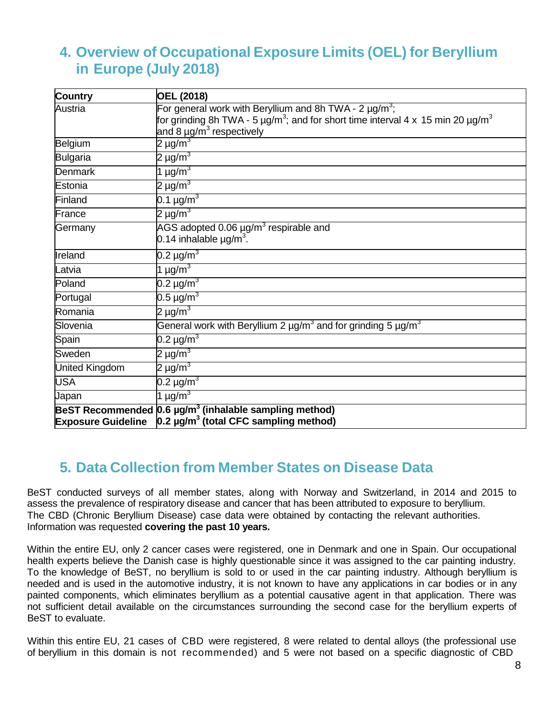## **4. Overview of Occupational Exposure Limits (OEL) for Beryllium in Europe (July 2018)**

| Country                   | <b>OEL (2018)</b>                                                                                                 |
|---------------------------|-------------------------------------------------------------------------------------------------------------------|
| Austria                   | For general work with Beryllium and 8h TWA - $2 \mu g/m^3$ ;                                                      |
|                           | for grinding 8h TWA - 5 $\mu$ g/m <sup>3</sup> ; and for short time interval 4 x 15 min 20 $\mu$ g/m <sup>3</sup> |
|                           | and 8 µg/m <sup>3</sup> respectively                                                                              |
| Belgium                   | 2 µg/m $^3$                                                                                                       |
| Bulgaria                  | 2 µg/m $^3$                                                                                                       |
| <b>Denmark</b>            | 1 $\mu$ g/m <sup>3</sup>                                                                                          |
| lEstonia                  | 2 µg/m $^3$                                                                                                       |
| Finland                   | 0.1 $\mu$ g/m <sup>3</sup>                                                                                        |
| France                    | 2 µg/m $^3$                                                                                                       |
| Germany                   | AGS adopted 0.06 $\mu$ g/m <sup>3</sup> respirable and                                                            |
|                           | 0.14 inhalable $\mu$ g/m <sup>3</sup> .                                                                           |
| Ireland                   | 0.2 µg/m $^3$                                                                                                     |
| Latvia                    | 1 $\mu$ g/m <sup>3</sup>                                                                                          |
| Poland                    | 0.2 µg/m $^3$                                                                                                     |
| Portugal                  | $0.5 \,\mathrm{\mu g/m^3}$                                                                                        |
| Romania                   | 2 µg/m $^3$                                                                                                       |
| Slovenia                  | General work with Beryllium 2 $\mu$ g/m <sup>3</sup> and for grinding 5 $\mu$ g/m <sup>3</sup>                    |
| Spain                     | 0.2 µg/m $^3$                                                                                                     |
| Sweden                    | 2 µg/m $^3$                                                                                                       |
| <b>United Kingdom</b>     | 2 µg/m <sup>3</sup>                                                                                               |
| <b>USA</b>                | 0.2 µg/ $\overline{\mathsf{m}^{3}}$                                                                               |
| Japan                     | 1 $\mu$ g/m <sup>3</sup>                                                                                          |
| <b>BeST Recommended</b>   | $0.6 \mu g/m3$ (inhalable sampling method)                                                                        |
| <b>Exposure Guideline</b> | 0.2 $\mu$ g/m <sup>3</sup> (total CFC sampling method)                                                            |

## **5. Data Collection from Member States on Disease Data**

BeST conducted surveys of all member states, along with Norway and Switzerland, in 2014 and 2015 to assess the prevalence of respiratory disease and cancer that has been attributed to exposure to beryllium. The CBD (Chronic Beryllium Disease) case data were obtained by contacting the relevant authorities. Information was requested **covering the past 10 years.**

Within the entire EU, only 2 cancer cases were registered, one in Denmark and one in Spain. Our occupational health experts believe the Danish case is highly questionable since it was assigned to the car painting industry. To the knowledge of BeST, no beryllium is sold to or used in the car painting industry. Although beryllium is needed and is used in the automotive industry, it is not known to have any applications in car bodies or in any painted components, which eliminates beryllium as a potential causative agent in that application. There was not sufficient detail available on the circumstances surrounding the second case for the beryllium experts of BeST to evaluate.

Within this entire EU, 21 cases of CBD were registered, 8 were related to dental alloys (the professional use of beryllium in this domain is not recommended) and 5 were not based on a specific diagnostic of CBD